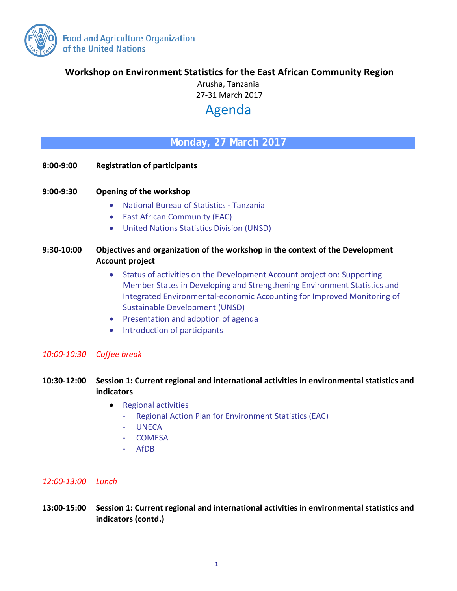

**Workshop on Environment Statistics for the East African Community Region** 

Arusha, Tanzania 27-31 March 2017

# Agenda

# **Monday, 27 March 2017**

- **8:00-9:00 Registration of participants**
- **9:00-9:30 Opening of the workshop**
	- National Bureau of Statistics Tanzania
	- East African Community (EAC)
	- United Nations Statistics Division (UNSD)

## **9:30-10:00 Objectives and organization of the workshop in the context of the Development Account project**

- Status of activities on the Development Account project on: Supporting Member States in Developing and Strengthening Environment Statistics and Integrated Environmental-economic Accounting for Improved Monitoring of Sustainable Development (UNSD)
- Presentation and adoption of agenda
- Introduction of participants

#### *10:00-10:30 Coffee break*

# **10:30-12:00 Session 1: Current regional and international activities in environmental statistics and indicators**

- Regional activities
	- Regional Action Plan for Environment Statistics (EAC)
	- UNECA
	- **COMESA**
	- AfDB

#### *12:00-13:00 Lunch*

**13:00-15:00 Session 1: Current regional and international activities in environmental statistics and indicators (contd.)**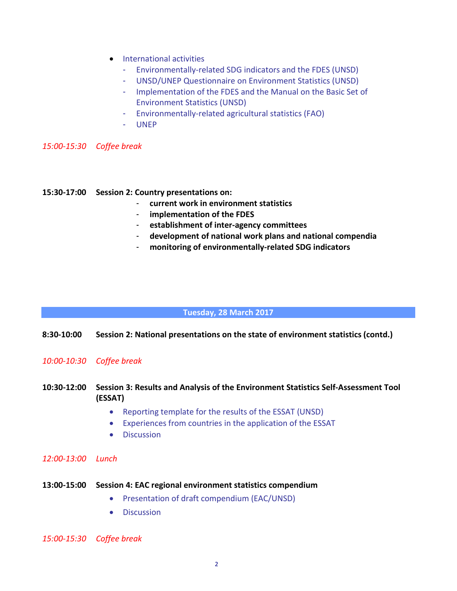- International activities
	- Environmentally-related SDG indicators and the FDES (UNSD)
	- UNSD/UNEP Questionnaire on Environment Statistics (UNSD)
	- Implementation of the FDES and the Manual on the Basic Set of Environment Statistics (UNSD)
	- Environmentally-related agricultural statistics (FAO)
	- UNEP

*15:00-15:30 Coffee break*

#### **15:30-17:00 Session 2: Country presentations on:**

- **current work in environment statistics**
- **implementation of the FDES**
- **establishment of inter-agency committees**
- **development of national work plans and national compendia**
- **monitoring of environmentally-related SDG indicators**

#### **Tuesday, 28 March 2017**

#### **8:30-10:00 Session 2: National presentations on the state of environment statistics (contd.)**

#### *10:00-10:30 Coffee break*

### **10:30-12:00 Session 3: Results and Analysis of the Environment Statistics Self-Assessment Tool (ESSAT)**

- Reporting template for the results of the ESSAT (UNSD)
- Experiences from countries in the application of the ESSAT
- Discussion

#### *12:00-13:00 Lunch*

- **13:00-15:00 Session 4: EAC regional environment statistics compendium**
	- Presentation of draft compendium (EAC/UNSD)
	- Discussion

#### *15:00-15:30 Coffee break*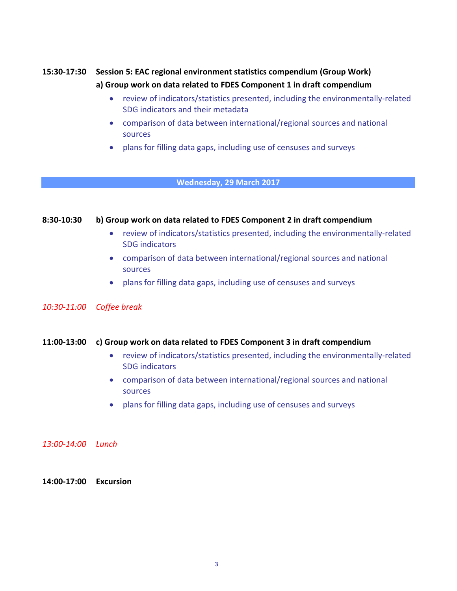# **15:30-17:30 Session 5: EAC regional environment statistics compendium (Group Work) a) Group work on data related to FDES Component 1 in draft compendium**

- review of indicators/statistics presented, including the environmentally-related SDG indicators and their metadata
- comparison of data between international/regional sources and national sources
- plans for filling data gaps, including use of censuses and surveys

#### **Wednesday, 29 March 2017**

#### **8:30-10:30 b) Group work on data related to FDES Component 2 in draft compendium**

- review of indicators/statistics presented, including the environmentally-related SDG indicators
- comparison of data between international/regional sources and national sources
- plans for filling data gaps, including use of censuses and surveys

### *10:30-11:00 Coffee break*

#### **11:00-13:00 c) Group work on data related to FDES Component 3 in draft compendium**

- review of indicators/statistics presented, including the environmentally-related SDG indicators
- comparison of data between international/regional sources and national sources
- plans for filling data gaps, including use of censuses and surveys

#### *13:00-14:00 Lunch*

**14:00-17:00 Excursion**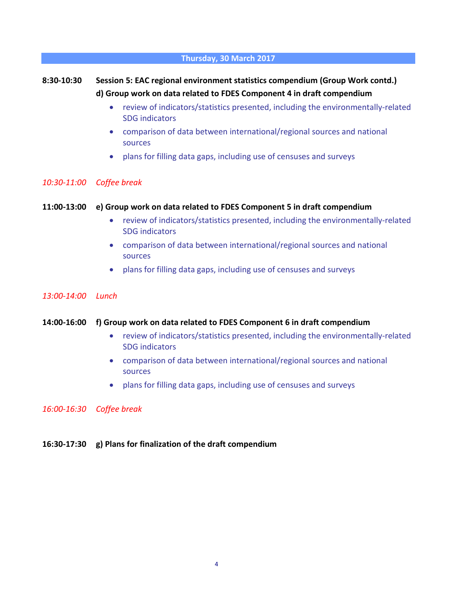#### **Thursday, 30 March 2017**

# **8:30-10:30 Session 5: EAC regional environment statistics compendium (Group Work contd.) d) Group work on data related to FDES Component 4 in draft compendium**

- review of indicators/statistics presented, including the environmentally-related SDG indicators
- comparison of data between international/regional sources and national sources
- plans for filling data gaps, including use of censuses and surveys

#### *10:30-11:00 Coffee break*

#### **11:00-13:00 e) Group work on data related to FDES Component 5 in draft compendium**

- review of indicators/statistics presented, including the environmentally-related SDG indicators
- comparison of data between international/regional sources and national sources
- plans for filling data gaps, including use of censuses and surveys

#### *13:00-14:00 Lunch*

#### **14:00-16:00 f) Group work on data related to FDES Component 6 in draft compendium**

- review of indicators/statistics presented, including the environmentally-related SDG indicators
- comparison of data between international/regional sources and national sources
- plans for filling data gaps, including use of censuses and surveys

*16:00-16:30 Coffee break*

#### **16:30-17:30 g) Plans for finalization of the draft compendium**